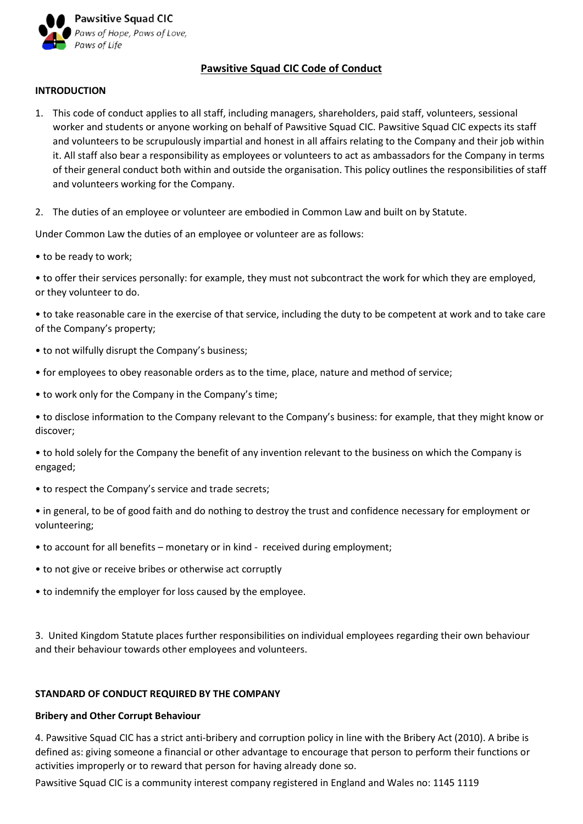

# **Pawsitive Squad CIC Code of Conduct**

## **INTRODUCTION**

- 1. This code of conduct applies to all staff, including managers, shareholders, paid staff, volunteers, sessional worker and students or anyone working on behalf of Pawsitive Squad CIC. Pawsitive Squad CIC expects its staff and volunteers to be scrupulously impartial and honest in all affairs relating to the Company and their job within it. All staff also bear a responsibility as employees or volunteers to act as ambassadors for the Company in terms of their general conduct both within and outside the organisation. This policy outlines the responsibilities of staff and volunteers working for the Company.
- 2. The duties of an employee or volunteer are embodied in Common Law and built on by Statute.

Under Common Law the duties of an employee or volunteer are as follows:

• to be ready to work;

• to offer their services personally: for example, they must not subcontract the work for which they are employed, or they volunteer to do.

• to take reasonable care in the exercise of that service, including the duty to be competent at work and to take care of the Company's property;

- to not wilfully disrupt the Company's business;
- for employees to obey reasonable orders as to the time, place, nature and method of service;
- to work only for the Company in the Company's time;

• to disclose information to the Company relevant to the Company's business: for example, that they might know or discover;

• to hold solely for the Company the benefit of any invention relevant to the business on which the Company is engaged;

• to respect the Company's service and trade secrets;

• in general, to be of good faith and do nothing to destroy the trust and confidence necessary for employment or volunteering;

- to account for all benefits monetary or in kind received during employment;
- to not give or receive bribes or otherwise act corruptly
- to indemnify the employer for loss caused by the employee.

3. United Kingdom Statute places further responsibilities on individual employees regarding their own behaviour and their behaviour towards other employees and volunteers.

### **STANDARD OF CONDUCT REQUIRED BY THE COMPANY**

### **Bribery and Other Corrupt Behaviour**

4. Pawsitive Squad CIC has a strict anti-bribery and corruption policy in line with the Bribery Act (2010). A bribe is defined as: giving someone a financial or other advantage to encourage that person to perform their functions or activities improperly or to reward that person for having already done so.

Pawsitive Squad CIC is a community interest company registered in England and Wales no: 1145 1119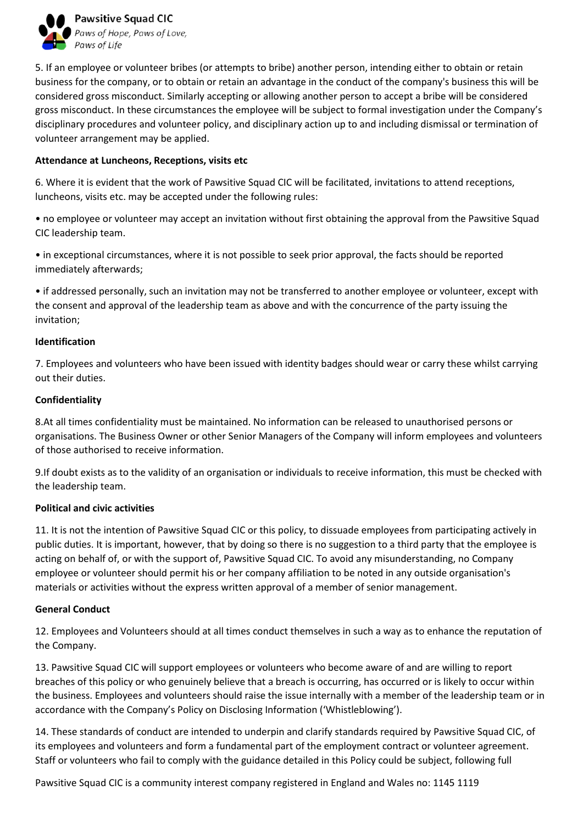

5. If an employee or volunteer bribes (or attempts to bribe) another person, intending either to obtain or retain business for the company, or to obtain or retain an advantage in the conduct of the company's business this will be considered gross misconduct. Similarly accepting or allowing another person to accept a bribe will be considered gross misconduct. In these circumstances the employee will be subject to formal investigation under the Company's disciplinary procedures and volunteer policy, and disciplinary action up to and including dismissal or termination of volunteer arrangement may be applied.

## **Attendance at Luncheons, Receptions, visits etc**

6. Where it is evident that the work of Pawsitive Squad CIC will be facilitated, invitations to attend receptions, luncheons, visits etc. may be accepted under the following rules:

• no employee or volunteer may accept an invitation without first obtaining the approval from the Pawsitive Squad CIC leadership team.

• in exceptional circumstances, where it is not possible to seek prior approval, the facts should be reported immediately afterwards;

• if addressed personally, such an invitation may not be transferred to another employee or volunteer, except with the consent and approval of the leadership team as above and with the concurrence of the party issuing the invitation;

# **Identification**

7. Employees and volunteers who have been issued with identity badges should wear or carry these whilst carrying out their duties.

# **Confidentiality**

8.At all times confidentiality must be maintained. No information can be released to unauthorised persons or organisations. The Business Owner or other Senior Managers of the Company will inform employees and volunteers of those authorised to receive information.

9.If doubt exists as to the validity of an organisation or individuals to receive information, this must be checked with the leadership team.

### **Political and civic activities**

11. It is not the intention of Pawsitive Squad CIC or this policy, to dissuade employees from participating actively in public duties. It is important, however, that by doing so there is no suggestion to a third party that the employee is acting on behalf of, or with the support of, Pawsitive Squad CIC. To avoid any misunderstanding, no Company employee or volunteer should permit his or her company affiliation to be noted in any outside organisation's materials or activities without the express written approval of a member of senior management.

# **General Conduct**

12. Employees and Volunteers should at all times conduct themselves in such a way as to enhance the reputation of the Company.

13. Pawsitive Squad CIC will support employees or volunteers who become aware of and are willing to report breaches of this policy or who genuinely believe that a breach is occurring, has occurred or is likely to occur within the business. Employees and volunteers should raise the issue internally with a member of the leadership team or in accordance with the Company's Policy on Disclosing Information ('Whistleblowing').

14. These standards of conduct are intended to underpin and clarify standards required by Pawsitive Squad CIC, of its employees and volunteers and form a fundamental part of the employment contract or volunteer agreement. Staff or volunteers who fail to comply with the guidance detailed in this Policy could be subject, following full

Pawsitive Squad CIC is a community interest company registered in England and Wales no: 1145 1119